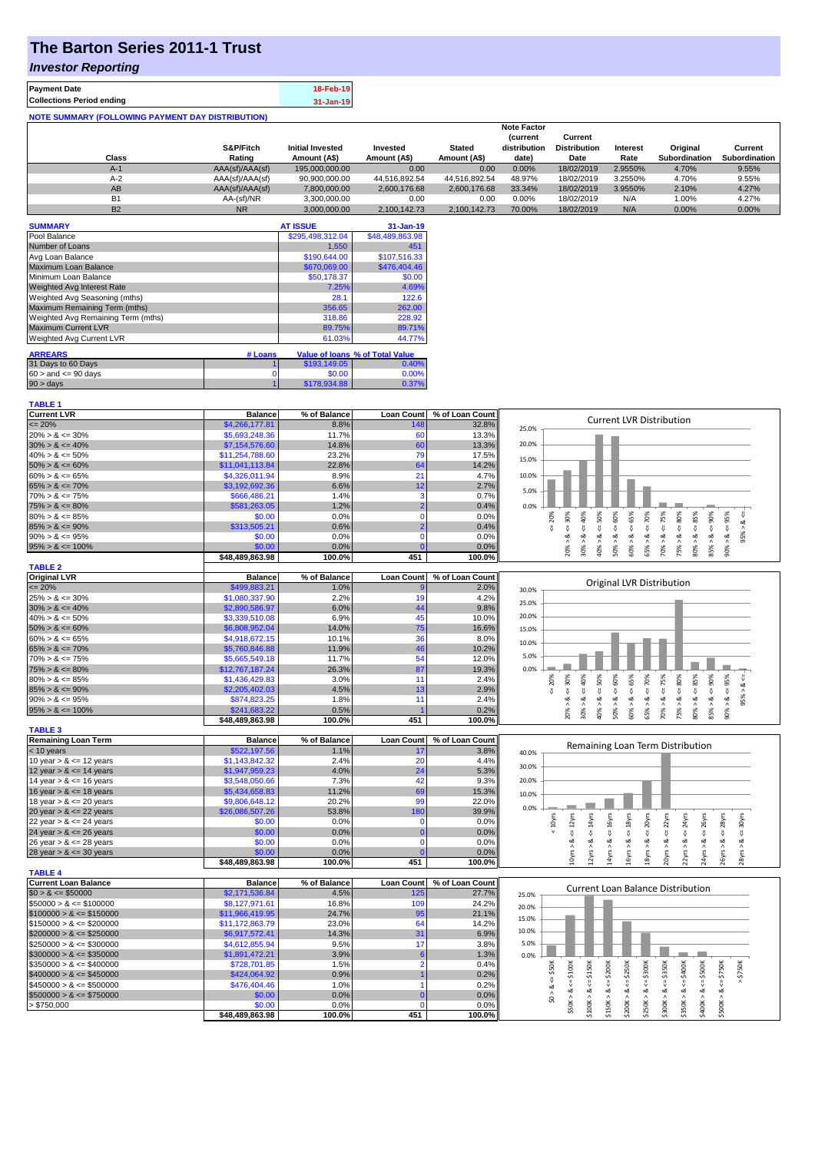# **The Barton Series 2011-1 Trust**

### *Investor Reporting*

| <b>Payment Date</b>                                      | 18-Feb-19 |
|----------------------------------------------------------|-----------|
| <b>Collections Period ending</b>                         | 31-Jan-19 |
| <b>NOTE SUMMARY (FOLLOWING PAYMENT DAY DISTRIBUTION)</b> |           |

|                |                 |                         |               |               | <b>Note Factor</b> |                     |                 |               |               |
|----------------|-----------------|-------------------------|---------------|---------------|--------------------|---------------------|-----------------|---------------|---------------|
|                |                 |                         |               |               | <b>Current</b>     | Current             |                 |               |               |
|                | S&P/Fitch       | <b>Initial Invested</b> | Invested      | <b>Stated</b> | distribution       | <b>Distribution</b> | <b>Interest</b> | Original      | Current       |
| Class          | Rating          | Amount (A\$)            | Amount (A\$)  | Amount (A\$)  | date)              | Date                | Rate            | Subordination | Subordination |
| $A-1$          | AAA(sf)/AAA(sf) | 195,000,000,00          | 0.00          | 0.00          | 0.00%              | 18/02/2019          | 2.9550%         | 4.70%         | 9.55%         |
| $A-2$          | AAA(sf)/AAA(sf) | 90,900,000.00           | 44.516.892.54 | 44.516.892.54 | 48.97%             | 18/02/2019          | 3.2550%         | 4.70%         | 9.55%         |
| AB             | AAA(sf)/AAA(sf) | 7,800,000.00            | 2.600.176.68  | 2.600.176.68  | 33.34%             | 18/02/2019          | 3.9550%         | 2.10%         | 4.27%         |
| B <sub>1</sub> | AA-(sf)/NR      | 3.300.000.00            | 0.00          | 0.00          | 0.00%              | 18/02/2019          | N/A             | 1.00%         | 4.27%         |
| <b>B2</b>      | <b>NR</b>       | 3.000.000.00            | 2.100.142.73  | 2.100.142.73  | 70.00%             | 18/02/2019          | N/A             | $0.00\%$      | 0.00%         |

| <b>SUMMARY</b>                     |         | <b>AT ISSUE</b>  | 31-Jan-19                       |
|------------------------------------|---------|------------------|---------------------------------|
| Pool Balance                       |         | \$295,498,312.04 | \$48,489,863.98                 |
| Number of Loans                    |         | 1,550            | 451                             |
| Avg Loan Balance                   |         | \$190,644.00     | \$107,516.33                    |
| Maximum Loan Balance               |         | \$670,069.00     | \$476,404.46                    |
| Minimum Loan Balance               |         | \$50,178.37      | \$0.00                          |
| <b>Weighted Avg Interest Rate</b>  |         | 7.25%            | 4.69%                           |
| Weighted Avg Seasoning (mths)      |         | 28.1             | 122.6                           |
| Maximum Remaining Term (mths)      |         | 356.65           | 262.00                          |
| Weighted Avg Remaining Term (mths) |         | 318.86           | 228.92                          |
| <b>Maximum Current LVR</b>         |         | 89.75%           | 89.71%                          |
| Weighted Avg Current LVR           |         | 61.03%           | 44.77%                          |
| <b>ARREARS</b>                     | # Loans |                  | Value of Ioans % of Total Value |
|                                    |         |                  |                                 |
| 31 Days to 60 Days                 |         | \$193,149.05     | 0.40%                           |
| $60 >$ and $\leq 90$ days          |         | \$0.00           | 0.00%                           |
| $90 > \text{days}$                 |         | \$178,934.88     | 0.37%                           |

| <b>TABLE 1</b>              |                           |                |                   |                 |                                                                                                                                                                                                                                    |
|-----------------------------|---------------------------|----------------|-------------------|-----------------|------------------------------------------------------------------------------------------------------------------------------------------------------------------------------------------------------------------------------------|
| <b>Current LVR</b>          | <b>Balance</b>            | % of Balance   | <b>Loan Count</b> | % of Loan Count |                                                                                                                                                                                                                                    |
| $\leq$ 20%                  | \$4,266,177.81            | 8.8%           | 148               | 32.8%           | <b>Current LVR Distribution</b><br>25.0%                                                                                                                                                                                           |
| $20\% > 8 \le 30\%$         | \$5,693,248.36            | 11.7%          | 60                | 13.3%           |                                                                                                                                                                                                                                    |
| $30\% > 8 \le 40\%$         | \$7,154,576.60            | 14.8%          | 60                | 13.3%           | 20.0%                                                                                                                                                                                                                              |
| $40\% > 8 \le 50\%$         | \$11,254,788.60           | 23.2%          | 79                | 17.5%           |                                                                                                                                                                                                                                    |
| $50\% > 8 \le 60\%$         | \$11,041,113.84           | 22.8%          | 64                | 14.2%           | 15.0%                                                                                                                                                                                                                              |
| $60\% > 8 \le 65\%$         | \$4,326,011.94            | 8.9%           | 21                | 4.7%            | 10.0%                                                                                                                                                                                                                              |
| $65\% > 8 \le 70\%$         | \$3,192,692.36            | 6.6%           | 12                | 2.7%            |                                                                                                                                                                                                                                    |
| $70\% > 8 \le 75\%$         | \$666,486.21              | 1.4%           | 3                 | 0.7%            | 5.0%                                                                                                                                                                                                                               |
| $75\% > 8 \le 80\%$         | \$581,263.05              | 1.2%           |                   | 0.4%            | 0.0%                                                                                                                                                                                                                               |
| $80\% > 8 \le 85\%$         | \$0.00                    | 0.0%           | $\Omega$          | 0.0%            | 20%<br>70%<br>95%                                                                                                                                                                                                                  |
| $85\% > 8 \le 90\%$         | \$313,505.21              | 0.6%           |                   | 0.4%            | $<=$ 50%<br>ૐ<br>₩,<br>₹<br>V                                                                                                                                                                                                      |
| $90\% > 8 \le 95\%$         | \$0.00                    | 0.0%           | $\Omega$          | 0.0%            | $8 - 30%$<br>95%<br>જ<br>œ                                                                                                                                                                                                         |
| $95\% > 8 \le 100\%$        | \$0.00                    | 0.0%           |                   | 0.0%            | $50\% > 8 \le 60\%$<br>$30\% > 8 <= 40\%$<br>$60\% > 8 \leq 65\%$<br>$70\% > 8 <= 75\%$<br>$75\% > 8.4 = 80\%$<br>$80\% > 8 <= 85\%$<br>$85\% > 8 <= 90\%$<br>40% > i<br>20% ><br>65% >                                            |
|                             | \$48,489,863.98           | 100.0%         | 451               | 100.0%          | $90\% > 8.$                                                                                                                                                                                                                        |
| <b>TABLE 2</b>              |                           |                |                   |                 |                                                                                                                                                                                                                                    |
| <b>Original LVR</b>         | <b>Balance</b>            | % of Balance   | <b>Loan Count</b> | % of Loan Count |                                                                                                                                                                                                                                    |
| $\leq$ 20%                  | \$499,883.21              | 1.0%           |                   | 2.0%            | Original LVR Distribution<br>30.0%                                                                                                                                                                                                 |
| $25\% > 8 \le 30\%$         | \$1,080,337.90            | 2.2%           | 19                | 4.2%            |                                                                                                                                                                                                                                    |
| $30\% > 8 \le 40\%$         | \$2,890,586.97            | 6.0%           | 44                | 9.8%            | 25.0%                                                                                                                                                                                                                              |
| $40\% > 8 \le 50\%$         | \$3,339,510.08            | 6.9%           | 45                | 10.0%           | 20.0%                                                                                                                                                                                                                              |
| $50\% > 8 \le 60\%$         | \$6,808,952.04            | 14.0%          | 75                | 16.6%           | 15.0%                                                                                                                                                                                                                              |
| $60\% > 8 \le 65\%$         | \$4,918,672.15            | 10.1%          | 36                | 8.0%            |                                                                                                                                                                                                                                    |
| $65\% > 8 \le 70\%$         | \$5,760,846.88            | 11.9%          | 46                | 10.2%           | 10.0%                                                                                                                                                                                                                              |
| $70\% > 8 \le 75\%$         | \$5,665,549.18            | 11.7%          | 54                | 12.0%           | 5.0%                                                                                                                                                                                                                               |
| $75\% > 8 \le 80\%$         | \$12,767,187.24           | 26.3%          | 87                | 19.3%           | 0.0%                                                                                                                                                                                                                               |
| $80\% > 8 \le 85\%$         | \$1,436,429.83            | 3.0%           | 11                | 2.4%            | 20%                                                                                                                                                                                                                                |
| $85\% > 8 \le 90\%$         | \$2,205,402.03            | 4.5%           | 13                | 2.9%            | $80\% > 8 \Leftarrow 85\%$<br>$4 = 90\%$<br>$50\%$<br>$4 = 65\%$<br>$4 = 75\%$<br>$\leq 80\%$<br>95%<br>30%<br>$40\%$<br>50%<br>70%<br>8 < 1                                                                                       |
| $90\% > 8 \le 95\%$         | \$874,823.25              | 1.8%           | 11                | 2.4%            | ₩<br>₩<br>₩<br>₩<br>95% ><br>ಷ<br>ಹ<br>ಷ<br>ವ<br>ಷ<br>∞<br>œ<br>ಷ<br>ಷ<br>ø                                                                                                                                                        |
| $95\% > 8 \le 100\%$        | \$241,683.22              | 0.5%           |                   | 0.2%            |                                                                                                                                                                                                                                    |
|                             | \$48,489,863.98           | 100.0%         | 451               | 100.0%          | 20% ><br>30% ><br>50% ><br>60% ><br>70% ><br>75% ><br>85% ><br>40% ><br>65% ><br>$90\%$                                                                                                                                            |
| <b>TABLE 3</b>              |                           |                |                   |                 |                                                                                                                                                                                                                                    |
| <b>Remaining Loan Term</b>  | <b>Balance</b>            | % of Balance   | <b>Loan Count</b> | % of Loan Count |                                                                                                                                                                                                                                    |
| $<$ 10 years                | \$522,197.56              | 1.1%           | 17                | 3.8%            | Remaining Loan Term Distribution                                                                                                                                                                                                   |
| 10 year $> 8 \le 12$ years  | \$1,143,842.32            | 2.4%           | 20                | 4.4%            | 40.0%                                                                                                                                                                                                                              |
| 12 year $> 8 \le 14$ years  | \$1,947,959.23            | 4.0%           | 24                | 5.3%            | 30.0%                                                                                                                                                                                                                              |
| 14 year $> 8 \le 16$ years  | \$3,548,050.66            | 7.3%           | 42                | 9.3%            | 20.0%                                                                                                                                                                                                                              |
| 16 year $> 8 \le 18$ years  | \$5,434,658.83            | 11.2%          | 69                | 15.3%           |                                                                                                                                                                                                                                    |
| 18 year $> 8 \le 20$ years  | \$9,806,648.12            | 20.2%          | 99                | 22.0%           | 10.0%                                                                                                                                                                                                                              |
| 20 year $> 8 \le 22$ years  | \$26,086,507.26           | 53.8%          | 180               | 39.9%           | 0.0%                                                                                                                                                                                                                               |
| 22 year $> 8 \le 24$ years  | \$0.00                    | 0.0%           | $\mathbf 0$       | 0.0%            | $\leq$ 22 $\gamma$ rs<br>$\leq$ 24yrs<br>$\leq 14$ yrs<br>$\epsilon$ = 16yrs<br>$\leq$ 28 $\gamma$ rs<br>$\leq$ 30 $\gamma$ rs<br>$< 10$ yrs                                                                                       |
| 24 year $> 8 \le 26$ years  | \$0.00                    | 0.0%           | $\Omega$          | 0.0%            | $\leq 18$ yrs<br>$\leq$ 20yrs<br>$\epsilon$ = 26yrs<br>$\epsilon$ = 12 $\gamma$ rs                                                                                                                                                 |
| 26 year $> 8 \le 28$ years  | \$0.00                    | 0.0%           | $\Omega$          | 0.0%            | ಷ<br>ಷ<br>ಷ<br>ಷ<br>ಷ<br>ಷ<br>ಷ<br>∞<br>ಷ                                                                                                                                                                                          |
|                             | \$0.00                    | 0.0%           |                   | 0.0%            |                                                                                                                                                                                                                                    |
| 28 year $> 8 \le 30$ years  | \$48,489,863.98           | 100.0%         | 451               | 100.0%          | 24yrs > 8<br>10yrs ><br>16yrs > 8<br>20yrs > 8<br>26yrs > 8<br>12yrs<br>14yrs<br>18yrs<br>22yrs ><br>28yrs                                                                                                                         |
| <b>TABLE 4</b>              |                           |                |                   |                 |                                                                                                                                                                                                                                    |
| <b>Current Loan Balance</b> | <b>Balance</b>            | % of Balance   | <b>Loan Count</b> | % of Loan Count |                                                                                                                                                                                                                                    |
| $$0 > 8 \le $50000$         | \$2,171,536.84            | 4.5%           | 125               | 27.7%           | Current Loan Balance Distribution<br>25.0%                                                                                                                                                                                         |
| $$50000 > 8 \le $100000$    | \$8,127,971.61            | 16.8%          | 109               | 24.2%           |                                                                                                                                                                                                                                    |
| $$100000 > 8 \leq $150000$  | \$11,966,419.95           | 24.7%          | 95                | 21.1%           | 20.0%                                                                                                                                                                                                                              |
| $$150000 > 8 \leq $200000$  | \$11,172,863.79           | 23.0%          | 64                | 14.2%           | 15.0%                                                                                                                                                                                                                              |
| $$200000 > 8 \leq $250000$  | \$6,917,572.41            | 14.3%          | 31                | 6.9%            | 10.0%                                                                                                                                                                                                                              |
| $$250000 > 8 \leq $300000$  | \$4,612,855.94            | 9.5%           | 17                | 3.8%            | 5.0%                                                                                                                                                                                                                               |
| $$300000 > 8 \leq $350000$  | \$1,891,472.21            | 3.9%           | -6                | 1.3%            | 0.0%                                                                                                                                                                                                                               |
| $$350000 > 8 \leq $400000$  | \$728,701.85              | 1.5%           | $\overline{2}$    | 0.4%            |                                                                                                                                                                                                                                    |
| $$400000 > 8 \le $450000$   | \$424,064.92              | 0.9%           |                   | 0.2%            | \$750K<br>\$50K<br>\$250K                                                                                                                                                                                                          |
| $$450000 > 8 \le $500000$   | \$476,404.46              | 1.0%           |                   | 0.2%            | $$50K > 8 <= $100K$<br>$$100K > 8 <= $150K$<br>$$150K > <= $200K$$<br>$$250K > 8 <= $300K$<br>$$300K > 8 <= $350K$<br>$$350K > 8 <= $400K$<br>$$400K > <= $500K$<br>$$500K > 8 <= $750K$<br>$\overset{\shortparallel}{\mathsf{v}}$ |
|                             |                           |                | $\Omega$          |                 | $$0 > 8 <=$                                                                                                                                                                                                                        |
| $$500000 > 8 \leq $750000$  | \$0.00                    | 0.0%           |                   | 0.0%            | \$200K > 8                                                                                                                                                                                                                         |
| > \$750,000                 | \$0.00<br>\$48,489,863.98 | 0.0%<br>100.0% | $\Omega$<br>451   | 0.0%<br>100.0%  |                                                                                                                                                                                                                                    |
|                             |                           |                |                   |                 |                                                                                                                                                                                                                                    |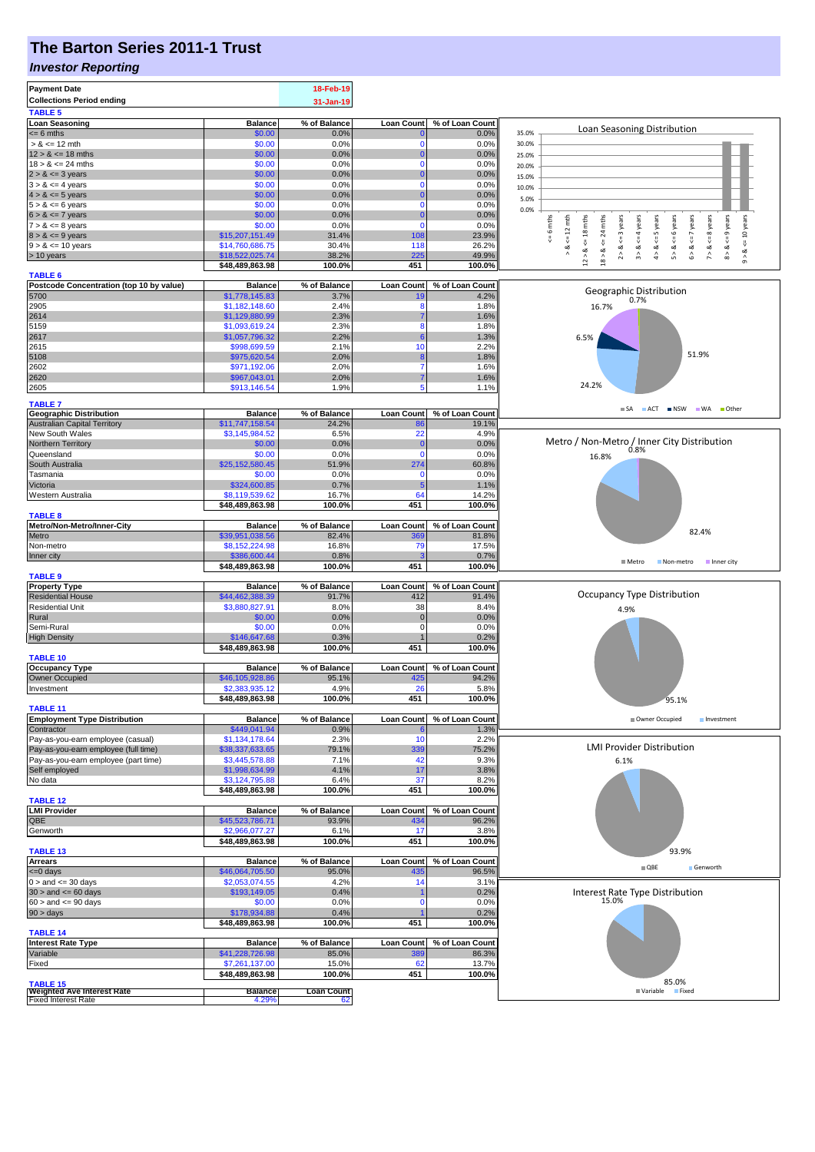# **The Barton Series 2011-1 Trust**

#### *Investor Reporting*

| <b>Payment Date</b><br><b>Collections Period ending</b><br><b>TABLE 5</b> |                                    | 18-Feb-19<br>31-Jan-19  |                   |                 |                                                                                                                                                                                                          |
|---------------------------------------------------------------------------|------------------------------------|-------------------------|-------------------|-----------------|----------------------------------------------------------------------------------------------------------------------------------------------------------------------------------------------------------|
| <b>Loan Seasoning</b>                                                     | <b>Balance</b>                     | % of Balance            | <b>Loan Count</b> | % of Loan Count |                                                                                                                                                                                                          |
| $= 6$ mths                                                                | \$0.00                             | 0.0%                    |                   | 0.0%            | Loan Seasoning Distribution<br>35.0%                                                                                                                                                                     |
| $> 8 \le 12$ mth                                                          | \$0.00                             | 0.0%                    | O                 | 0.0%            | 30.0%                                                                                                                                                                                                    |
| $12 > 8 \le 18$ mths                                                      | \$0.00                             | 0.0%                    | 0                 | 0.0%            | 25.0%                                                                                                                                                                                                    |
| $18 > 8 \le 24$ mths                                                      | \$0.00                             | 0.0%                    | O                 | 0.0%            | 20.0%                                                                                                                                                                                                    |
| $2 > 8 \le 3$ years                                                       | \$0.00<br>\$0.00                   | 0.0%<br>0.0%            | 0<br>$\Omega$     | 0.0%<br>0.0%    | 15.0%                                                                                                                                                                                                    |
| $3 > 8 \le 4$ years<br>$4 > 8 \le 5$ years                                | \$0.00                             | 0.0%                    |                   | 0.0%            | 10.0%                                                                                                                                                                                                    |
| $5 > 8 \le 6$ years                                                       | \$0.00                             | 0.0%                    | $\Omega$          | 0.0%            | 5.0%                                                                                                                                                                                                     |
| $6 > 8 \le 7$ years                                                       | \$0.00                             | 0.0%                    | C                 | 0.0%            | 0.0%                                                                                                                                                                                                     |
| $7 > 8 \le 8$ years                                                       | \$0.00                             | 0.0%                    | $\mathbf 0$       | 0.0%            | $\leq$ 9 years<br>$\le$ = 10 years<br>6 mths<br>$\leq 12$ mth<br>$12 > 8$ <= 18 mths<br>24 mths<br>$\leq$ 8 years<br><= 3 years<br>$\leq$ = 4 years<br>$\le$ 5 years<br>6 years<br>$6 > 8 < z < 7$ years |
| $8 > 8 \le 9$ years                                                       | \$15,207,151.49                    | 31.4%                   | 108               | 23.9%           | V<br>₩                                                                                                                                                                                                   |
| $9 > 8 \le 10$ years                                                      | \$14,760,686.75                    | 30.4%                   | 118               | 26.2%           | œ<br>4 > 8<br>œ<br>$8 - 8$<br>≪<br>2 > 8<br>∞<br>œ                                                                                                                                                       |
| > 10 years                                                                | \$18,522,025.74<br>\$48,489,863.98 | 38.2%<br>100.0%         | 225<br>451        | 49.9%<br>100.0% | $18 > 8$<br>$\hat{\boldsymbol{\delta}}$<br>$\hat{\mathbf{5}}$<br>$\hat{z}$<br>$\hat{9}$                                                                                                                  |
| <b>TABLE 6</b>                                                            |                                    |                         |                   |                 |                                                                                                                                                                                                          |
| Postcode Concentration (top 10 by value)                                  | <b>Balance</b>                     | % of Balance            | <b>Loan Count</b> | % of Loan Count |                                                                                                                                                                                                          |
| 5700                                                                      | \$1,778,145.83                     | 3.7%                    |                   | 4.2%            | Geographic Distribution<br>0.7%                                                                                                                                                                          |
| 2905                                                                      | \$1,182,148.60                     | 2.4%                    | 8                 | 1.8%            | 16.7%                                                                                                                                                                                                    |
| 2614                                                                      | \$1,129,880.99                     | 2.3%                    | 8                 | 1.6%            |                                                                                                                                                                                                          |
| 5159<br>2617                                                              | \$1,093,619.24<br>\$1,057,796.32   | 2.3%<br>2.2%            | 6                 | 1.8%<br>1.3%    | 6.5%                                                                                                                                                                                                     |
| 2615                                                                      | \$998,699.59                       | 2.1%                    | 10                | 2.2%            |                                                                                                                                                                                                          |
| 5108                                                                      | \$975,620.54                       | 2.0%                    |                   | 1.8%            | 51.9%                                                                                                                                                                                                    |
| 2602                                                                      | \$971,192.06                       | 2.0%                    |                   | 1.6%            |                                                                                                                                                                                                          |
| 2620                                                                      | \$967,043.01                       | 2.0%                    |                   | 1.6%            |                                                                                                                                                                                                          |
| 2605                                                                      | \$913,146.54                       | 1.9%                    | 5                 | 1.1%            | 24.2%                                                                                                                                                                                                    |
| <b>TABLE 7</b>                                                            |                                    |                         |                   |                 | SA ACT INSW WA Other                                                                                                                                                                                     |
| <b>Geographic Distribution</b>                                            | <b>Balance</b>                     | % of Balance            | <b>Loan Count</b> | % of Loan Count |                                                                                                                                                                                                          |
| <b>Australian Capital Territory</b><br>New South Wales                    | \$11,747,158.54<br>\$3,145,984.52  | 24.2%<br>6.5%           | 8<br>22           | 19.1%<br>4.9%   |                                                                                                                                                                                                          |
| Northern Territory                                                        | \$0.00                             | 0.0%                    | C                 | 0.0%            |                                                                                                                                                                                                          |
| Queensland                                                                | \$0.00                             | 0.0%                    | $\Omega$          | 0.0%            | Metro / Non-Metro / Inner City Distribution<br>0.8%                                                                                                                                                      |
| South Australia                                                           | \$25,152,580.45                    | 51.9%                   | 274               | 60.8%           | 16.8%                                                                                                                                                                                                    |
| Tasmania                                                                  | \$0.00                             | 0.0%                    | -C                | 0.0%            |                                                                                                                                                                                                          |
| Victoria                                                                  | \$324,600.85                       | 0.7%                    | 5                 | 1.1%            |                                                                                                                                                                                                          |
| Western Australia                                                         | \$8,119,539.62                     | 16.7%                   | 64                | 14.2%           |                                                                                                                                                                                                          |
| <b>TABLE 8</b>                                                            | \$48,489,863.98                    | 100.0%                  | 451               | 100.0%          |                                                                                                                                                                                                          |
| Metro/Non-Metro/Inner-City                                                | <b>Balance</b>                     | % of Balance            | <b>Loan Count</b> | % of Loan Count |                                                                                                                                                                                                          |
| Metro                                                                     | \$39,951,038.56                    | 82.4%                   | 369               | 81.8%           | 82.4%                                                                                                                                                                                                    |
| Non-metro                                                                 | \$8,152,224.98                     | 16.8%                   | 79                | 17.5%           |                                                                                                                                                                                                          |
| Inner city                                                                | \$386,600.44<br>\$48,489,863.98    | 0.8%<br>100.0%          | 451               | 0.7%<br>100.0%  | ■ Metro<br>Non-metro<br>Inner city                                                                                                                                                                       |
| <b>TABLE 9</b>                                                            |                                    |                         |                   |                 |                                                                                                                                                                                                          |
| <b>Property Type</b>                                                      | <b>Balance</b>                     | % of Balance            | <b>Loan Count</b> | % of Loan Count |                                                                                                                                                                                                          |
| <b>Residential House</b>                                                  | \$44,462,388.39                    | 91.7%                   | 412               | 91.4%           | Occupancy Type Distribution                                                                                                                                                                              |
| <b>Residential Unit</b>                                                   | \$3,880,827.91                     | 8.0%<br>0.0%            | 38<br>$\mathbf 0$ | 8.4%            | 4.9%                                                                                                                                                                                                     |
| Rural<br>Semi-Rural                                                       | \$0.00<br>\$0.00                   | 0.0%                    | $\Omega$          | 0.0%<br>0.0%    |                                                                                                                                                                                                          |
| <b>High Density</b>                                                       | \$146,647.68                       | 0.3%                    |                   | 0.2%            |                                                                                                                                                                                                          |
|                                                                           | \$48,489,863.98                    | 100.0%                  | 451               | 100.0%          |                                                                                                                                                                                                          |
| <b>TABLE 10</b>                                                           |                                    |                         |                   |                 |                                                                                                                                                                                                          |
| <b>Occupancy Type</b><br><b>Owner Occupied</b>                            | <b>Balance</b>                     | % of Balance            | <b>Loan Count</b> | % of Loan Count |                                                                                                                                                                                                          |
| Investment                                                                | \$46,105,928.86<br>\$2,383,935.12  | 95.1%<br>4.9%           | 425<br>26         | 94.2%<br>5.8%   |                                                                                                                                                                                                          |
|                                                                           | \$48,489,863.98                    | 100.0%                  | 451               | 100.0%          | 95.1%                                                                                                                                                                                                    |
| <b>TABLE 11</b>                                                           |                                    |                         |                   |                 |                                                                                                                                                                                                          |
| <b>Employment Type Distribution</b>                                       | <b>Balance</b>                     | % of Balance            | <b>Loan Count</b> | % of Loan Count | Owner Occupied<br>Investment                                                                                                                                                                             |
| Contractor<br>Pay-as-you-earn employee (casual)                           | \$449,041.94<br>\$1,134,178.64     | 0.9%<br>2.3%            | 10                | 1.3%<br>2.2%    |                                                                                                                                                                                                          |
| Pay-as-you-earn employee (full time)                                      | \$38,337,633.65                    | 79.1%                   | 339               | 75.2%           | <b>LMI Provider Distribution</b>                                                                                                                                                                         |
| Pay-as-you-earn employee (part time)                                      | \$3,445,578.88                     | 7.1%                    | 42                | 9.3%            | 6.1%                                                                                                                                                                                                     |
| Self employed                                                             | \$1,998,634.99                     | 4.1%                    | 17                | 3.8%            |                                                                                                                                                                                                          |
| No data                                                                   | \$3,124,795.88                     | 6.4%                    | 37                | 8.2%            |                                                                                                                                                                                                          |
| <b>TABLE 12</b>                                                           | \$48,489,863.98                    | 100.0%                  | 451               | 100.0%          |                                                                                                                                                                                                          |
| <b>LMI Provider</b>                                                       | <b>Balance</b>                     | % of Balance            | <b>Loan Count</b> | % of Loan Count |                                                                                                                                                                                                          |
| QBE                                                                       | \$45,523,786.71                    | 93.9%                   | 434               | 96.2%           |                                                                                                                                                                                                          |
| Genworth                                                                  | \$2,966,077.27                     | 6.1%                    | 17                | 3.8%            |                                                                                                                                                                                                          |
| <b>TABLE 13</b>                                                           | \$48,489,863.98                    | 100.0%                  | 451               | 100.0%          | 93.9%                                                                                                                                                                                                    |
| <b>Arrears</b>                                                            | <b>Balance</b>                     | % of Balance            | <b>Loan Count</b> | % of Loan Count |                                                                                                                                                                                                          |
| <= 0 days                                                                 | \$46,064,705.50                    | 95.0%                   | 435               | 96.5%           | $\Box$ QBE<br>Genworth                                                                                                                                                                                   |
| $0 >$ and $\leq$ 30 days                                                  | \$2,053,074.55                     | 4.2%                    | 14                | 3.1%            |                                                                                                                                                                                                          |
| $30 >$ and $\leq 60$ days                                                 | \$193,149.05                       | 0.4%                    |                   | 0.2%            | Interest Rate Type Distribution<br>15.0%                                                                                                                                                                 |
| $60 >$ and $\leq 90$ days<br>$90 > \text{days}$                           | \$0.00<br>\$178,934.88             | 0.0%<br>0.4%            | C                 | 0.0%<br>0.2%    |                                                                                                                                                                                                          |
|                                                                           | \$48,489,863.98                    | 100.0%                  | 451               | 100.0%          |                                                                                                                                                                                                          |
| <b>TABLE 14</b>                                                           |                                    |                         |                   |                 |                                                                                                                                                                                                          |
| <b>Interest Rate Type</b>                                                 | <b>Balance</b>                     | % of Balance            | <b>Loan Count</b> | % of Loan Count |                                                                                                                                                                                                          |
| Variable                                                                  | \$41,228,726.98                    | 85.0%                   | 38                | 86.3%           |                                                                                                                                                                                                          |
| Fixed                                                                     | \$7,261,137.00<br>\$48,489,863.98  | 15.0%<br>100.0%         | 62<br>451         | 13.7%<br>100.0% |                                                                                                                                                                                                          |
| <b>TABLE 15</b>                                                           |                                    |                         |                   |                 | 85.0%                                                                                                                                                                                                    |
| <b>Weighted Ave Interest Rate</b><br><b>Fixed Interest Rate</b>           | <b>Balance</b><br>4.29%            | <b>Loan Count</b><br>62 |                   |                 | Variable Fixed                                                                                                                                                                                           |